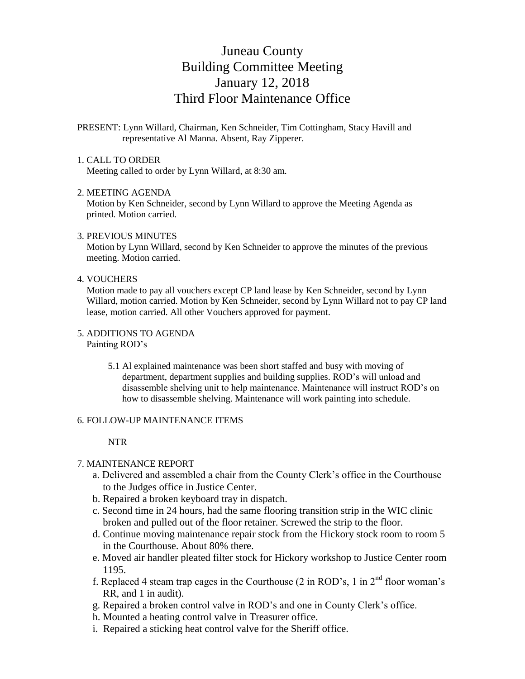# Juneau County Building Committee Meeting January 12, 2018 Third Floor Maintenance Office

# PRESENT: Lynn Willard, Chairman, Ken Schneider, Tim Cottingham, Stacy Havill and representative Al Manna. Absent, Ray Zipperer.

## 1. CALL TO ORDER

Meeting called to order by Lynn Willard, at 8:30 am.

### 2. MEETING AGENDA

 Motion by Ken Schneider, second by Lynn Willard to approve the Meeting Agenda as printed. Motion carried.

### 3. PREVIOUS MINUTES

 Motion by Lynn Willard, second by Ken Schneider to approve the minutes of the previous meeting. Motion carried.

## 4. VOUCHERS

 Motion made to pay all vouchers except CP land lease by Ken Schneider, second by Lynn Willard, motion carried. Motion by Ken Schneider, second by Lynn Willard not to pay CP land lease, motion carried. All other Vouchers approved for payment.

### 5. ADDITIONS TO AGENDA

Painting ROD's

5.1 Al explained maintenance was been short staffed and busy with moving of department, department supplies and building supplies. ROD's will unload and disassemble shelving unit to help maintenance. Maintenance will instruct ROD's on how to disassemble shelving. Maintenance will work painting into schedule.

### 6. FOLLOW-UP MAINTENANCE ITEMS

## NTR

# 7. MAINTENANCE REPORT

- a. Delivered and assembled a chair from the County Clerk's office in the Courthouse to the Judges office in Justice Center.
- b. Repaired a broken keyboard tray in dispatch.
- c. Second time in 24 hours, had the same flooring transition strip in the WIC clinic broken and pulled out of the floor retainer. Screwed the strip to the floor.
- d. Continue moving maintenance repair stock from the Hickory stock room to room 5 in the Courthouse. About 80% there.
- e. Moved air handler pleated filter stock for Hickory workshop to Justice Center room 1195.
- f. Replaced 4 steam trap cages in the Courthouse (2 in ROD's, 1 in  $2<sup>nd</sup>$  floor woman's RR, and 1 in audit).
- g. Repaired a broken control valve in ROD's and one in County Clerk's office.
- h. Mounted a heating control valve in Treasurer office.
- i. Repaired a sticking heat control valve for the Sheriff office.